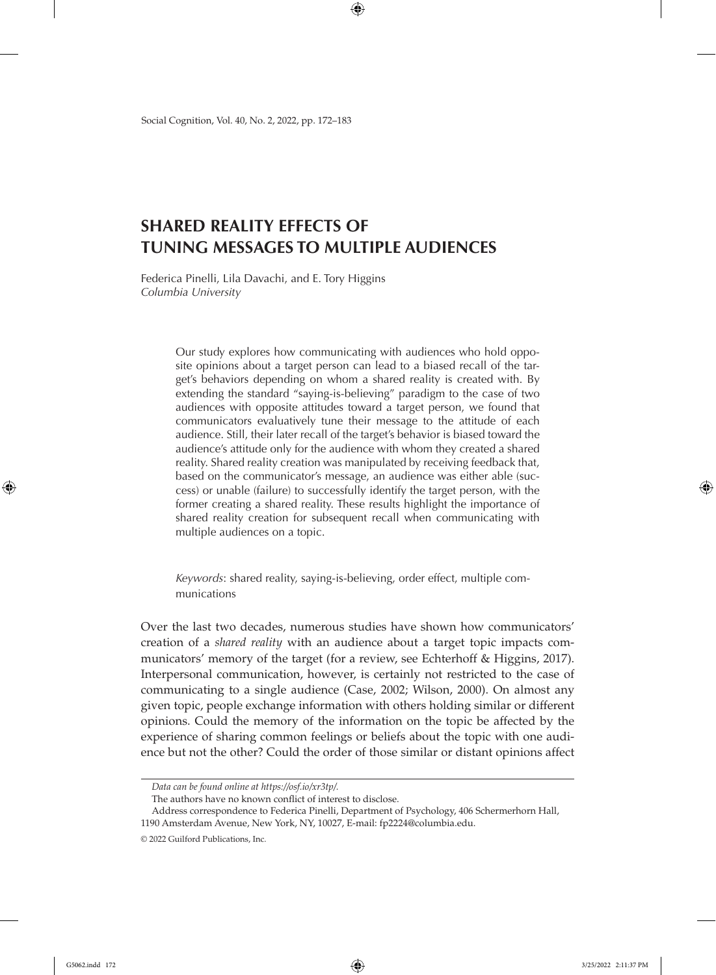# **SHARED REALITY EFFECTS OF TUNING MESSAGES TO MULTIPLE AUDIENCES**

Federica Pinelli, Lila Davachi, and E. Tory Higgins *Columbia University*

> Our study explores how communicating with audiences who hold opposite opinions about a target person can lead to a biased recall of the target's behaviors depending on whom a shared reality is created with. By extending the standard "saying-is-believing" paradigm to the case of two audiences with opposite attitudes toward a target person, we found that communicators evaluatively tune their message to the attitude of each audience. Still, their later recall of the target's behavior is biased toward the audience's attitude only for the audience with whom they created a shared reality. Shared reality creation was manipulated by receiving feedback that, based on the communicator's message, an audience was either able (success) or unable (failure) to successfully identify the target person, with the former creating a shared reality. These results highlight the importance of shared reality creation for subsequent recall when communicating with multiple audiences on a topic.

*Keywords*: shared reality, saying-is-believing, order effect, multiple communications

Over the last two decades, numerous studies have shown how communicators' creation of a *shared reality* with an audience about a target topic impacts communicators' memory of the target (for a review, see Echterhoff & Higgins, 2017). Interpersonal communication, however, is certainly not restricted to the case of communicating to a single audience (Case, 2002; Wilson, 2000). On almost any given topic, people exchange information with others holding similar or different opinions. Could the memory of the information on the topic be affected by the experience of sharing common feelings or beliefs about the topic with one audience but not the other? Could the order of those similar or distant opinions affect

*Data can be found online at https://osf.io/xr3tp/.*

The authors have no known conflict of interest to disclose.

Address correspondence to Federica Pinelli, Department of Psychology, 406 Schermerhorn Hall, 1190 Amsterdam Avenue, New York, NY, 10027, E-mail: fp2224@columbia.edu.

<sup>© 2022</sup> Guilford Publications, Inc.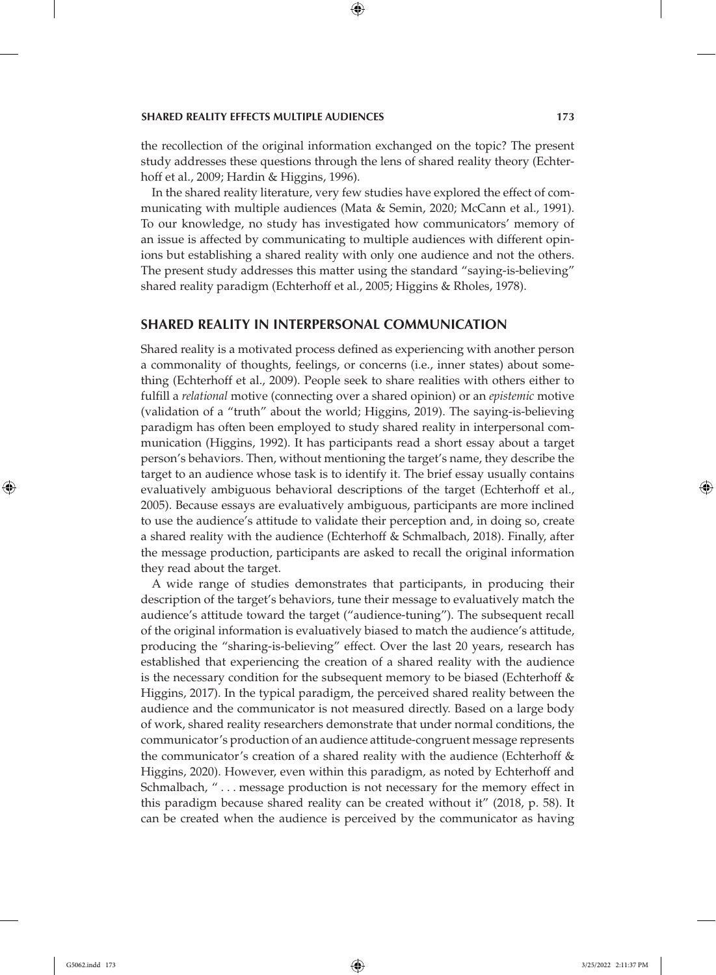the recollection of the original information exchanged on the topic? The present study addresses these questions through the lens of shared reality theory (Echterhoff et al., 2009; Hardin & Higgins, 1996).

In the shared reality literature, very few studies have explored the effect of communicating with multiple audiences (Mata & Semin, 2020; McCann et al., 1991). To our knowledge, no study has investigated how communicators' memory of an issue is affected by communicating to multiple audiences with different opinions but establishing a shared reality with only one audience and not the others. The present study addresses this matter using the standard "saying-is-believing" shared reality paradigm (Echterhoff et al., 2005; Higgins & Rholes, 1978).

# **SHARED REALITY IN INTERPERSONAL COMMUNICATION**

Shared reality is a motivated process defined as experiencing with another person a commonality of thoughts, feelings, or concerns (i.e., inner states) about something (Echterhoff et al., 2009). People seek to share realities with others either to fulfill a *relational* motive (connecting over a shared opinion) or an *epistemic* motive (validation of a "truth" about the world; Higgins, 2019). The saying-is-believing paradigm has often been employed to study shared reality in interpersonal communication (Higgins, 1992). It has participants read a short essay about a target person's behaviors. Then, without mentioning the target's name, they describe the target to an audience whose task is to identify it. The brief essay usually contains evaluatively ambiguous behavioral descriptions of the target (Echterhoff et al., 2005). Because essays are evaluatively ambiguous, participants are more inclined to use the audience's attitude to validate their perception and, in doing so, create a shared reality with the audience (Echterhoff & Schmalbach, 2018). Finally, after the message production, participants are asked to recall the original information they read about the target.

A wide range of studies demonstrates that participants, in producing their description of the target's behaviors, tune their message to evaluatively match the audience's attitude toward the target ("audience-tuning"). The subsequent recall of the original information is evaluatively biased to match the audience's attitude, producing the "sharing-is-believing" effect. Over the last 20 years, research has established that experiencing the creation of a shared reality with the audience is the necessary condition for the subsequent memory to be biased (Echterhoff & Higgins, 2017). In the typical paradigm, the perceived shared reality between the audience and the communicator is not measured directly. Based on a large body of work, shared reality researchers demonstrate that under normal conditions, the communicator's production of an audience attitude-congruent message represents the communicator's creation of a shared reality with the audience (Echterhoff & Higgins, 2020). However, even within this paradigm, as noted by Echterhoff and Schmalbach, "... message production is not necessary for the memory effect in this paradigm because shared reality can be created without it" (2018, p. 58). It can be created when the audience is perceived by the communicator as having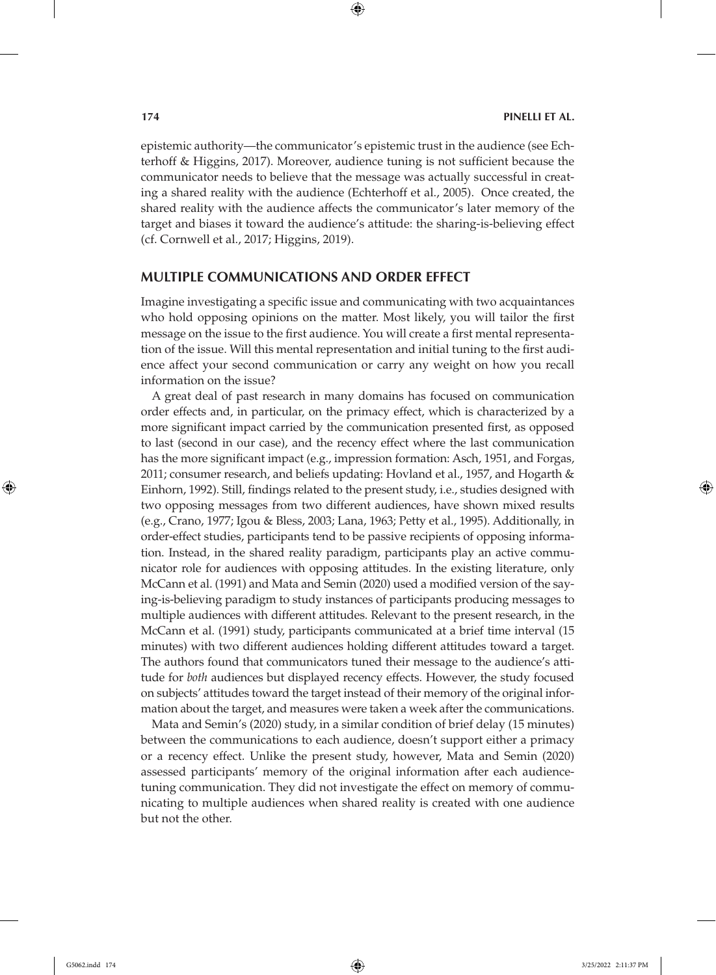epistemic authority—the communicator's epistemic trust in the audience (see Echterhoff & Higgins, 2017). Moreover, audience tuning is not sufficient because the communicator needs to believe that the message was actually successful in creating a shared reality with the audience (Echterhoff et al., 2005). Once created, the shared reality with the audience affects the communicator's later memory of the target and biases it toward the audience's attitude: the sharing-is-believing effect (cf. Cornwell et al., 2017; Higgins, 2019).

## **MULTIPLE COMMUNICATIONS AND ORDER EFFECT**

Imagine investigating a specific issue and communicating with two acquaintances who hold opposing opinions on the matter. Most likely, you will tailor the first message on the issue to the first audience. You will create a first mental representation of the issue. Will this mental representation and initial tuning to the first audience affect your second communication or carry any weight on how you recall information on the issue?

A great deal of past research in many domains has focused on communication order effects and, in particular, on the primacy effect, which is characterized by a more significant impact carried by the communication presented first, as opposed to last (second in our case), and the recency effect where the last communication has the more significant impact (e.g., impression formation: Asch, 1951, and Forgas, 2011; consumer research, and beliefs updating: Hovland et al., 1957, and Hogarth & Einhorn, 1992). Still, findings related to the present study, i.e., studies designed with two opposing messages from two different audiences, have shown mixed results (e.g., Crano, 1977; Igou & Bless, 2003; Lana, 1963; Petty et al., 1995). Additionally, in order-effect studies, participants tend to be passive recipients of opposing information. Instead, in the shared reality paradigm, participants play an active communicator role for audiences with opposing attitudes. In the existing literature, only McCann et al. (1991) and Mata and Semin (2020) used a modified version of the saying-is-believing paradigm to study instances of participants producing messages to multiple audiences with different attitudes. Relevant to the present research, in the McCann et al. (1991) study, participants communicated at a brief time interval (15 minutes) with two different audiences holding different attitudes toward a target. The authors found that communicators tuned their message to the audience's attitude for *both* audiences but displayed recency effects. However, the study focused on subjects' attitudes toward the target instead of their memory of the original information about the target, and measures were taken a week after the communications.

Mata and Semin's (2020) study, in a similar condition of brief delay (15 minutes) between the communications to each audience, doesn't support either a primacy or a recency effect. Unlike the present study, however, Mata and Semin (2020) assessed participants' memory of the original information after each audiencetuning communication. They did not investigate the effect on memory of communicating to multiple audiences when shared reality is created with one audience but not the other.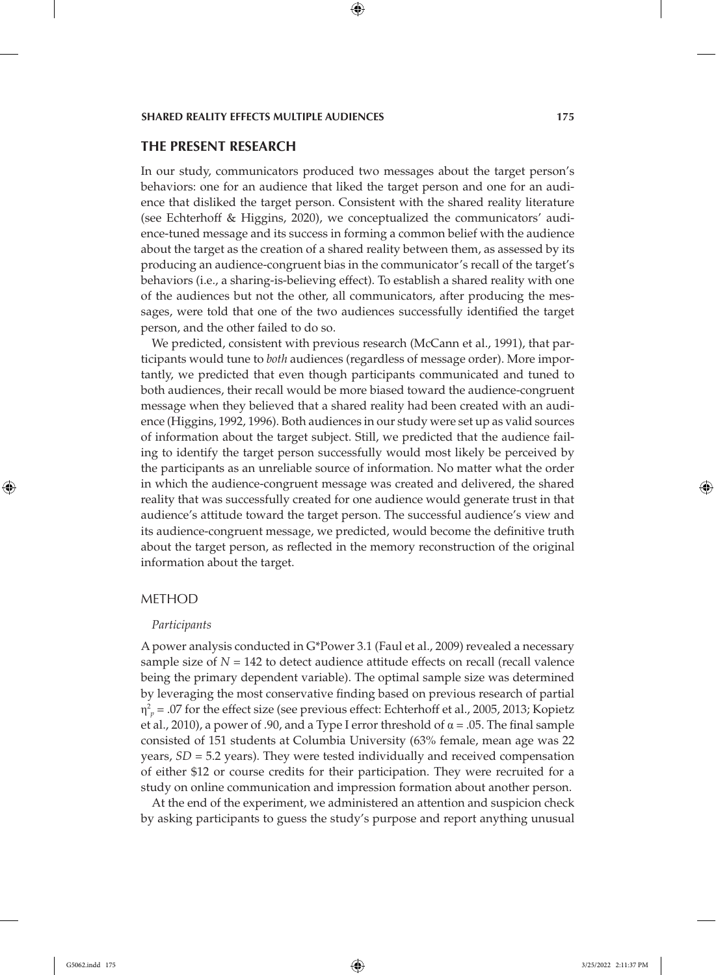## **THE PRESENT RESEARCH**

In our study, communicators produced two messages about the target person's behaviors: one for an audience that liked the target person and one for an audience that disliked the target person. Consistent with the shared reality literature (see Echterhoff & Higgins, 2020), we conceptualized the communicators' audience-tuned message and its success in forming a common belief with the audience about the target as the creation of a shared reality between them, as assessed by its producing an audience-congruent bias in the communicator's recall of the target's behaviors (i.e., a sharing-is-believing effect). To establish a shared reality with one of the audiences but not the other, all communicators, after producing the messages, were told that one of the two audiences successfully identified the target person, and the other failed to do so.

We predicted, consistent with previous research (McCann et al., 1991), that participants would tune to *both* audiences (regardless of message order). More importantly, we predicted that even though participants communicated and tuned to both audiences, their recall would be more biased toward the audience-congruent message when they believed that a shared reality had been created with an audience (Higgins, 1992, 1996). Both audiences in our study were set up as valid sources of information about the target subject. Still, we predicted that the audience failing to identify the target person successfully would most likely be perceived by the participants as an unreliable source of information. No matter what the order in which the audience-congruent message was created and delivered, the shared reality that was successfully created for one audience would generate trust in that audience's attitude toward the target person. The successful audience's view and its audience-congruent message, we predicted, would become the definitive truth about the target person, as reflected in the memory reconstruction of the original information about the target.

#### METHOD

#### *Participants*

A power analysis conducted in G\*Power 3.1 (Faul et al., 2009) revealed a necessary sample size of  $N = 142$  to detect audience attitude effects on recall (recall valence being the primary dependent variable). The optimal sample size was determined by leveraging the most conservative finding based on previous research of partial  $η<sup>2</sup><sub>p</sub> = .07$  for the effect size (see previous effect: Echterhoff et al., 2005, 2013; Kopietz et al., 2010), a power of .90, and a Type I error threshold of  $\alpha$  = .05. The final sample consisted of 151 students at Columbia University (63% female, mean age was 22 years, *SD* = 5.2 years). They were tested individually and received compensation of either \$12 or course credits for their participation. They were recruited for a study on online communication and impression formation about another person.

At the end of the experiment, we administered an attention and suspicion check by asking participants to guess the study's purpose and report anything unusual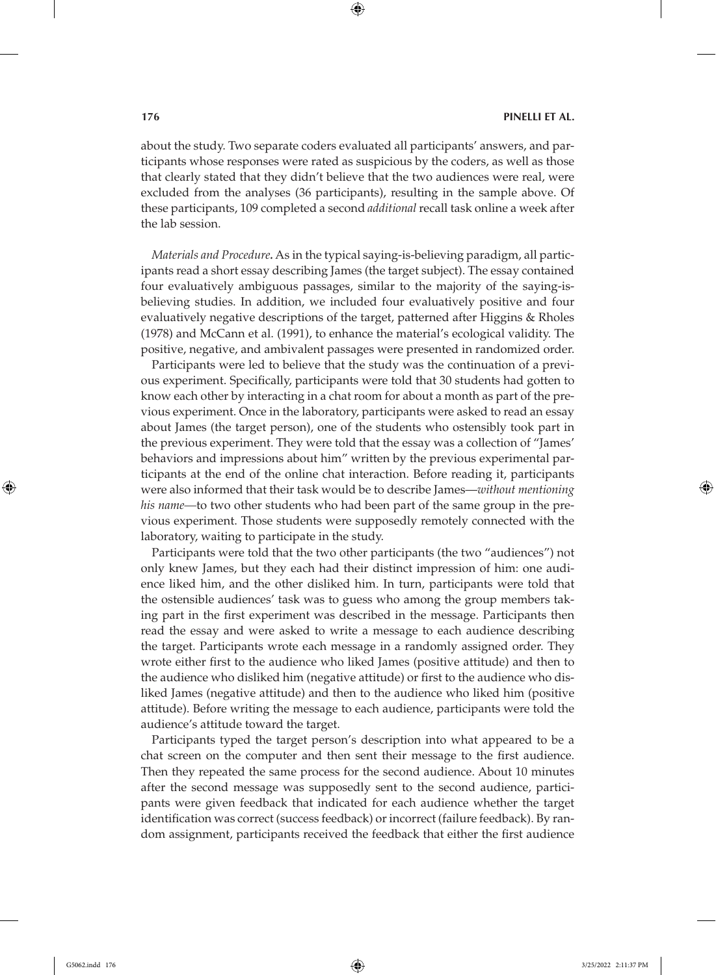about the study. Two separate coders evaluated all participants' answers, and participants whose responses were rated as suspicious by the coders, as well as those that clearly stated that they didn't believe that the two audiences were real, were excluded from the analyses (36 participants), resulting in the sample above. Of these participants, 109 completed a second *additional* recall task online a week after the lab session.

*Materials and Procedure.* As in the typical saying-is-believing paradigm, all participants read a short essay describing James (the target subject). The essay contained four evaluatively ambiguous passages, similar to the majority of the saying-isbelieving studies. In addition, we included four evaluatively positive and four evaluatively negative descriptions of the target, patterned after Higgins & Rholes (1978) and McCann et al. (1991), to enhance the material's ecological validity. The positive, negative, and ambivalent passages were presented in randomized order.

Participants were led to believe that the study was the continuation of a previous experiment. Specifically, participants were told that 30 students had gotten to know each other by interacting in a chat room for about a month as part of the previous experiment. Once in the laboratory, participants were asked to read an essay about James (the target person), one of the students who ostensibly took part in the previous experiment. They were told that the essay was a collection of "James' behaviors and impressions about him" written by the previous experimental participants at the end of the online chat interaction. Before reading it, participants were also informed that their task would be to describe James—*without mentioning his name—*to two other students who had been part of the same group in the previous experiment. Those students were supposedly remotely connected with the laboratory, waiting to participate in the study.

Participants were told that the two other participants (the two "audiences") not only knew James, but they each had their distinct impression of him: one audience liked him, and the other disliked him. In turn, participants were told that the ostensible audiences' task was to guess who among the group members taking part in the first experiment was described in the message. Participants then read the essay and were asked to write a message to each audience describing the target. Participants wrote each message in a randomly assigned order. They wrote either first to the audience who liked James (positive attitude) and then to the audience who disliked him (negative attitude) or first to the audience who disliked James (negative attitude) and then to the audience who liked him (positive attitude). Before writing the message to each audience, participants were told the audience's attitude toward the target.

Participants typed the target person's description into what appeared to be a chat screen on the computer and then sent their message to the first audience. Then they repeated the same process for the second audience. About 10 minutes after the second message was supposedly sent to the second audience, participants were given feedback that indicated for each audience whether the target identification was correct (success feedback) or incorrect (failure feedback). By random assignment, participants received the feedback that either the first audience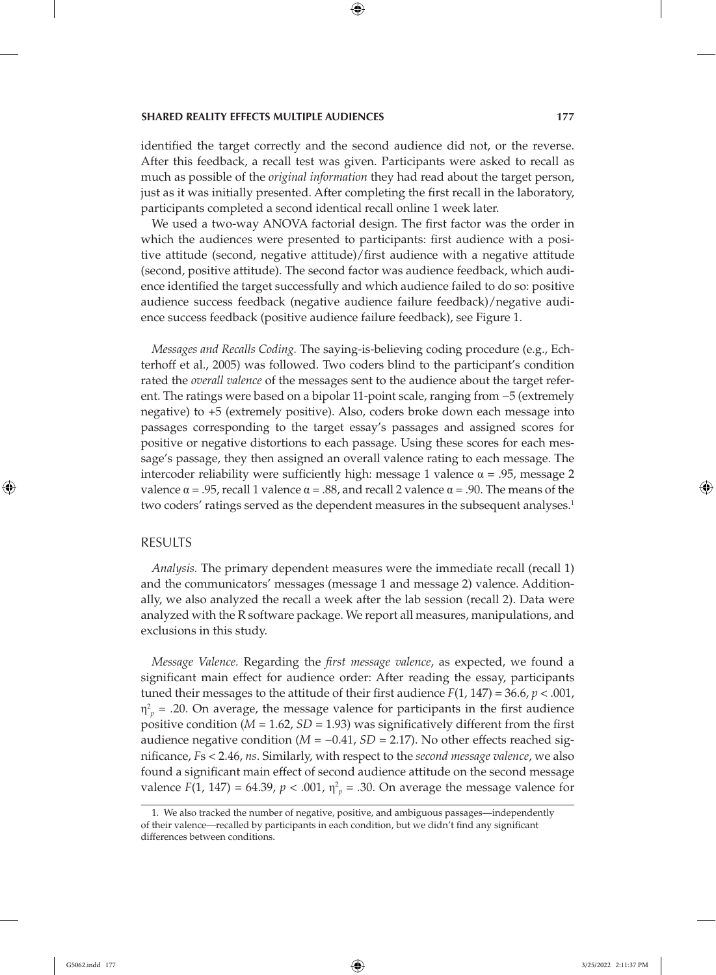### **SHARED REALITY EFFECTS MULTIPLE AUDIENCES 177**

identified the target correctly and the second audience did not, or the reverse. After this feedback, a recall test was given. Participants were asked to recall as much as possible of the *original information* they had read about the target person, just as it was initially presented. After completing the first recall in the laboratory, participants completed a second identical recall online 1 week later.

We used a two-way ANOVA factorial design. The first factor was the order in which the audiences were presented to participants: first audience with a positive attitude (second, negative attitude)/first audience with a negative attitude (second, positive attitude). The second factor was audience feedback, which audience identified the target successfully and which audience failed to do so: positive audience success feedback (negative audience failure feedback)/negative audience success feedback (positive audience failure feedback), see Figure 1.

*Messages and Recalls Coding.* The saying-is-believing coding procedure (e.g., Echterhoff et al., 2005) was followed. Two coders blind to the participant's condition rated the *overall valence* of the messages sent to the audience about the target referent. The ratings were based on a bipolar 11-point scale, ranging from −5 (extremely negative) to +5 (extremely positive). Also, coders broke down each message into passages corresponding to the target essay's passages and assigned scores for positive or negative distortions to each passage. Using these scores for each message's passage, they then assigned an overall valence rating to each message. The intercoder reliability were sufficiently high: message 1 valence  $\alpha = .95$ , message 2 valence  $\alpha = .95$ , recall 1 valence  $\alpha = .88$ , and recall 2 valence  $\alpha = .90$ . The means of the two coders' ratings served as the dependent measures in the subsequent analyses.<sup>1</sup>

## RESULTS

*Analysis.* The primary dependent measures were the immediate recall (recall 1) and the communicators' messages (message 1 and message 2) valence. Additionally, we also analyzed the recall a week after the lab session (recall 2). Data were analyzed with the R software package. We report all measures, manipulations, and exclusions in this study.

*Message Valence.* Regarding the *first message valence*, as expected, we found a significant main effect for audience order: After reading the essay, participants tuned their messages to the attitude of their first audience *F*(1, 147) = 36.6, *p* < .001,  $\eta_p^2$  = .20. On average, the message valence for participants in the first audience positive condition (*M* = 1.62, *SD* = 1.93) was significatively different from the first audience negative condition (*M* = −0.41, *SD* = 2.17). No other effects reached significance, *F*s < 2.46, *ns*. Similarly, with respect to the *second message valence*, we also found a significant main effect of second audience attitude on the second message valence  $F(1, 147) = 64.39$ ,  $p < .001$ ,  $\eta_p^2 = .30$ . On average the message valence for

<sup>1.</sup> We also tracked the number of negative, positive, and ambiguous passages—independently of their valence—recalled by participants in each condition, but we didn't find any significant differences between conditions.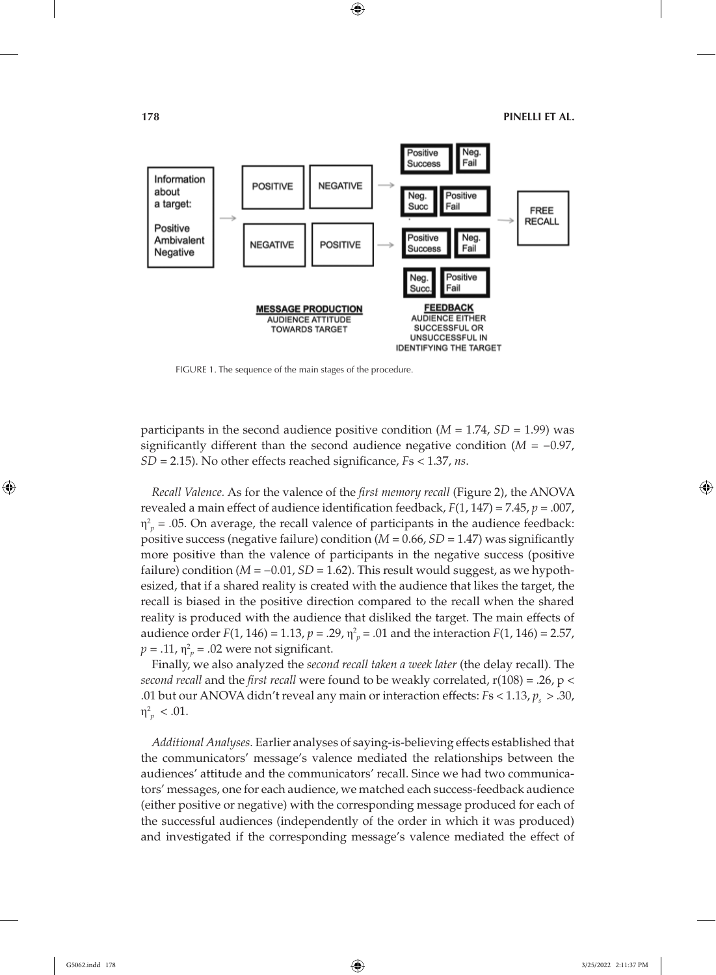

FIGURE 1. The sequence of the main stages of the procedure.

participants in the second audience positive condition (*M* = 1.74, *SD* = 1.99) was significantly different than the second audience negative condition ( $M = -0.97$ , *SD* = 2.15). No other effects reached significance, *F*s < 1.37, *ns*.

*Recall Valence.* As for the valence of the *first memory recall* (Figure 2), the ANOVA revealed a main effect of audience identification feedback, *F*(1, 147) = 7.45, *p* = .007,  $\eta_p^2$  = .05. On average, the recall valence of participants in the audience feedback: positive success (negative failure) condition (*M* = 0.66, *SD* = 1.47) was significantly more positive than the valence of participants in the negative success (positive failure) condition (*M* = −0.01, *SD* = 1.62). This result would suggest, as we hypothesized, that if a shared reality is created with the audience that likes the target, the recall is biased in the positive direction compared to the recall when the shared reality is produced with the audience that disliked the target. The main effects of audience order  $F(1, 146) = 1.13$ ,  $p = .29$ ,  $\eta_p^2 = .01$  and the interaction  $F(1, 146) = 2.57$ ,  $p = .11$ ,  $\eta_p^2 = .02$  were not significant.

Finally, we also analyzed the *second recall taken a week later* (the delay recall). The *second recall* and the *first recall* were found to be weakly correlated, r(108) = .26, p < .01 but our ANOVA didn't reveal any main or interaction effects:  $Fs < 1.13, p_s > .30$ ,  $\eta_p^2$  < .01.

*Additional Analyses.* Earlier analyses of saying-is-believing effects established that the communicators' message's valence mediated the relationships between the audiences' attitude and the communicators' recall. Since we had two communicators' messages, one for each audience, we matched each success-feedback audience (either positive or negative) with the corresponding message produced for each of the successful audiences (independently of the order in which it was produced) and investigated if the corresponding message's valence mediated the effect of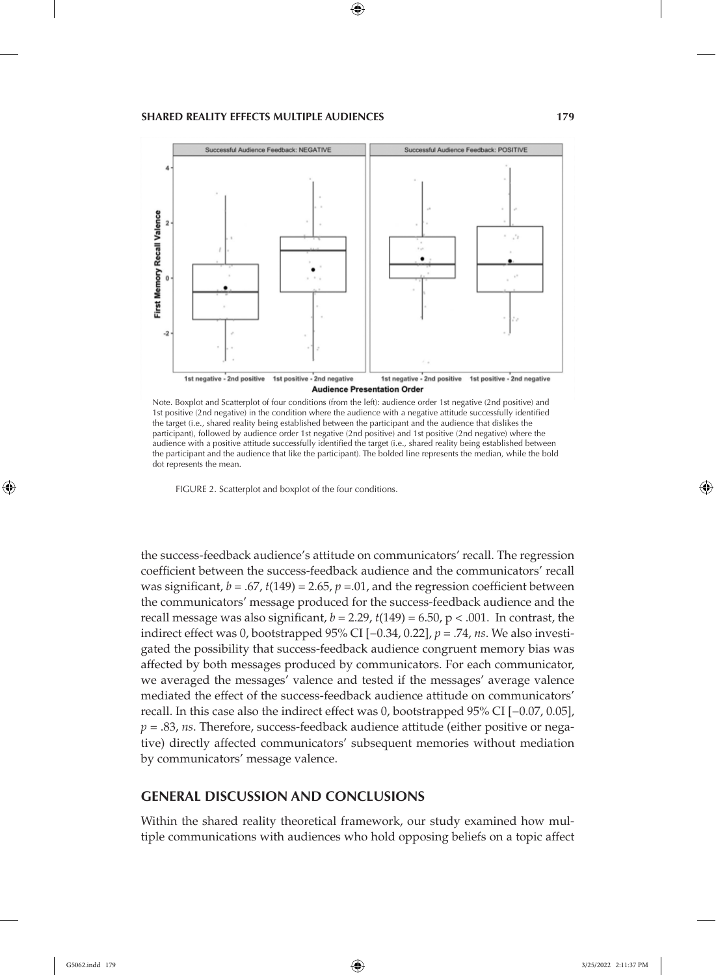

Note. Boxplot and Scatterplot of four conditions (from the left): audience order 1st negative (2nd positive) and 1st positive (2nd negative) in the condition where the audience with a negative attitude successfully identified the target (i.e., shared reality being established between the participant and the audience that dislikes the participant), followed by audience order 1st negative (2nd positive) and 1st positive (2nd negative) where the audience with a positive attitude successfully identified the target (i.e., shared reality being established between the participant and the audience that like the participant). The bolded line represents the median, while the bold dot represents the mean.

FIGURE 2. Scatterplot and boxplot of the four conditions.

the success-feedback audience's attitude on communicators' recall. The regression coefficient between the success-feedback audience and the communicators' recall was significant,  $b = .67$ ,  $t(149) = 2.65$ ,  $p = .01$ , and the regression coefficient between the communicators' message produced for the success-feedback audience and the recall message was also significant,  $b = 2.29$ ,  $t(149) = 6.50$ ,  $p < .001$ . In contrast, the indirect effect was 0, bootstrapped 95% CI [−0.34, 0.22], *p* = .74, *ns*. We also investigated the possibility that success-feedback audience congruent memory bias was affected by both messages produced by communicators. For each communicator, we averaged the messages' valence and tested if the messages' average valence mediated the effect of the success-feedback audience attitude on communicators' recall. In this case also the indirect effect was 0, bootstrapped 95% CI [−0.07, 0.05], *p* = .83, *ns*. Therefore, success-feedback audience attitude (either positive or negative) directly affected communicators' subsequent memories without mediation by communicators' message valence.

# **GENERAL DISCUSSION AND CONCLUSIONS**

Within the shared reality theoretical framework, our study examined how multiple communications with audiences who hold opposing beliefs on a topic affect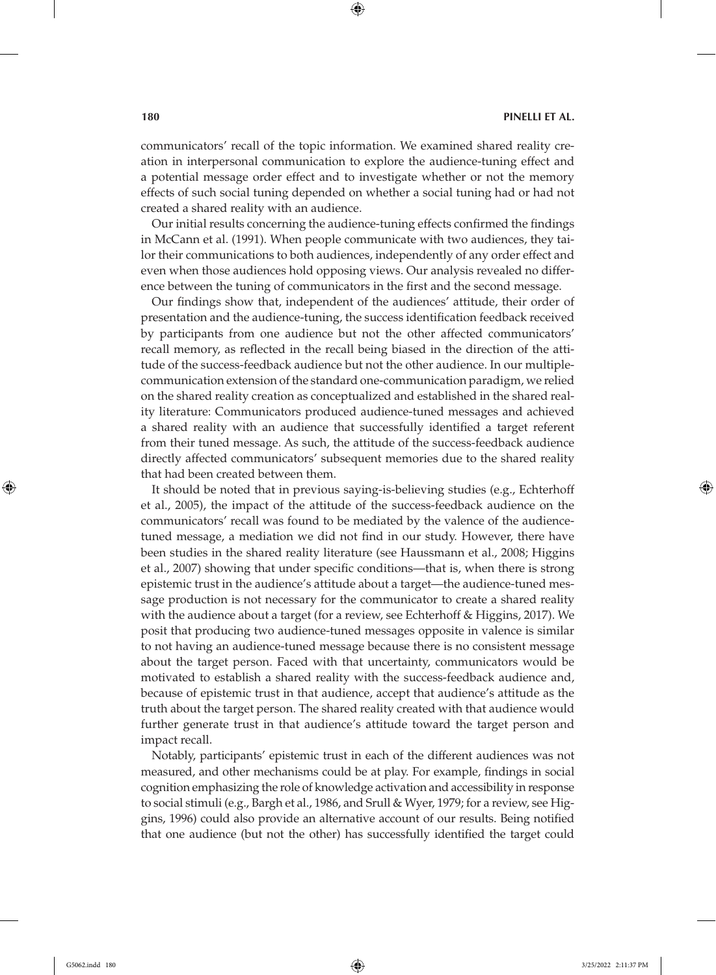communicators' recall of the topic information. We examined shared reality creation in interpersonal communication to explore the audience-tuning effect and a potential message order effect and to investigate whether or not the memory effects of such social tuning depended on whether a social tuning had or had not created a shared reality with an audience.

Our initial results concerning the audience-tuning effects confirmed the findings in McCann et al. (1991). When people communicate with two audiences, they tailor their communications to both audiences, independently of any order effect and even when those audiences hold opposing views. Our analysis revealed no difference between the tuning of communicators in the first and the second message.

Our findings show that, independent of the audiences' attitude, their order of presentation and the audience-tuning, the success identification feedback received by participants from one audience but not the other affected communicators' recall memory, as reflected in the recall being biased in the direction of the attitude of the success-feedback audience but not the other audience. In our multiplecommunication extension of the standard one-communication paradigm, we relied on the shared reality creation as conceptualized and established in the shared reality literature: Communicators produced audience-tuned messages and achieved a shared reality with an audience that successfully identified a target referent from their tuned message. As such, the attitude of the success-feedback audience directly affected communicators' subsequent memories due to the shared reality that had been created between them.

It should be noted that in previous saying-is-believing studies (e.g., Echterhoff et al., 2005), the impact of the attitude of the success-feedback audience on the communicators' recall was found to be mediated by the valence of the audiencetuned message, a mediation we did not find in our study. However, there have been studies in the shared reality literature (see Haussmann et al., 2008; Higgins et al., 2007) showing that under specific conditions—that is, when there is strong epistemic trust in the audience's attitude about a target—the audience-tuned message production is not necessary for the communicator to create a shared reality with the audience about a target (for a review, see Echterhoff & Higgins, 2017). We posit that producing two audience-tuned messages opposite in valence is similar to not having an audience-tuned message because there is no consistent message about the target person. Faced with that uncertainty, communicators would be motivated to establish a shared reality with the success-feedback audience and, because of epistemic trust in that audience, accept that audience's attitude as the truth about the target person. The shared reality created with that audience would further generate trust in that audience's attitude toward the target person and impact recall.

Notably, participants' epistemic trust in each of the different audiences was not measured, and other mechanisms could be at play. For example, findings in social cognition emphasizing the role of knowledge activation and accessibility in response to social stimuli (e.g., Bargh et al., 1986, and Srull & Wyer, 1979; for a review, see Higgins, 1996) could also provide an alternative account of our results. Being notified that one audience (but not the other) has successfully identified the target could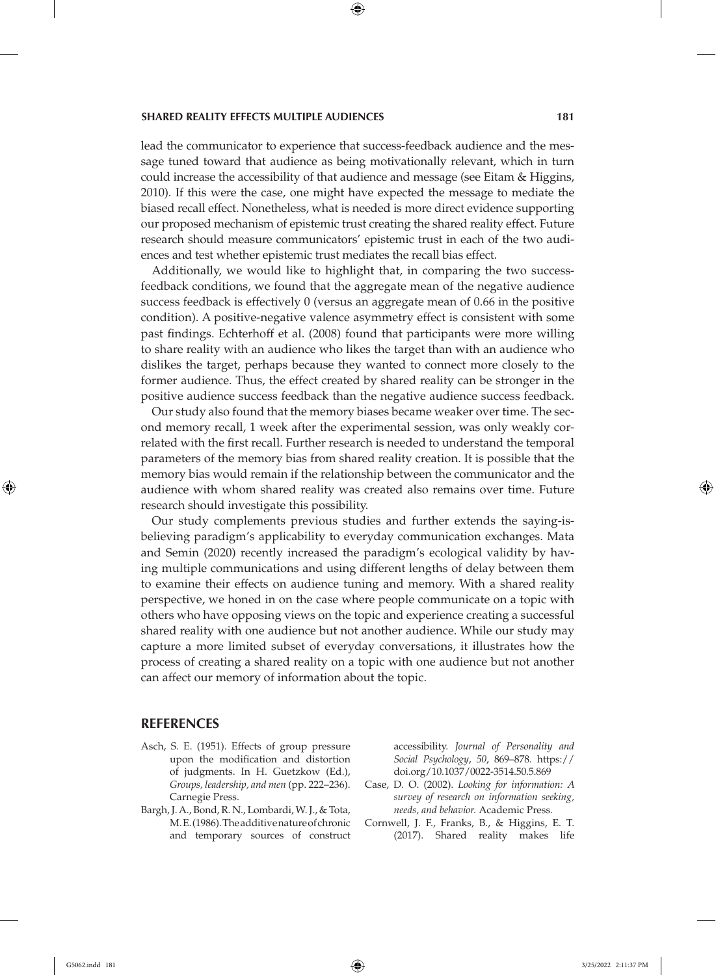### **SHARED REALITY EFFECTS MULTIPLE AUDIENCES 181**

lead the communicator to experience that success-feedback audience and the message tuned toward that audience as being motivationally relevant, which in turn could increase the accessibility of that audience and message (see Eitam & Higgins, 2010). If this were the case, one might have expected the message to mediate the biased recall effect. Nonetheless, what is needed is more direct evidence supporting our proposed mechanism of epistemic trust creating the shared reality effect. Future research should measure communicators' epistemic trust in each of the two audiences and test whether epistemic trust mediates the recall bias effect.

Additionally, we would like to highlight that, in comparing the two successfeedback conditions, we found that the aggregate mean of the negative audience success feedback is effectively 0 (versus an aggregate mean of 0.66 in the positive condition). A positive-negative valence asymmetry effect is consistent with some past findings. Echterhoff et al. (2008) found that participants were more willing to share reality with an audience who likes the target than with an audience who dislikes the target, perhaps because they wanted to connect more closely to the former audience. Thus, the effect created by shared reality can be stronger in the positive audience success feedback than the negative audience success feedback.

Our study also found that the memory biases became weaker over time. The second memory recall, 1 week after the experimental session, was only weakly correlated with the first recall. Further research is needed to understand the temporal parameters of the memory bias from shared reality creation. It is possible that the memory bias would remain if the relationship between the communicator and the audience with whom shared reality was created also remains over time. Future research should investigate this possibility.

Our study complements previous studies and further extends the saying-isbelieving paradigm's applicability to everyday communication exchanges. Mata and Semin (2020) recently increased the paradigm's ecological validity by having multiple communications and using different lengths of delay between them to examine their effects on audience tuning and memory. With a shared reality perspective, we honed in on the case where people communicate on a topic with others who have opposing views on the topic and experience creating a successful shared reality with one audience but not another audience. While our study may capture a more limited subset of everyday conversations, it illustrates how the process of creating a shared reality on a topic with one audience but not another can affect our memory of information about the topic.

## **REFERENCES**

- Asch, S. E. (1951). Effects of group pressure upon the modification and distortion of judgments. In H. Guetzkow (Ed.), *Groups, leadership, and men* (pp. 222–236). Carnegie Press.
- Bargh, J. A., Bond, R. N., Lombardi, W. J., & Tota, M. E. (1986). The additive nature of chronic and temporary sources of construct

accessibility. *Journal of Personality and Social Psychology*, *50*, 869–878. https:// doi.org/10.1037/0022-3514.50.5.869

- Case, D. O. (2002). *Looking for information: A survey of research on information seeking, needs, and behavior.* Academic Press.
- Cornwell, J. F., Franks, B., & Higgins, E. T. (2017). Shared reality makes life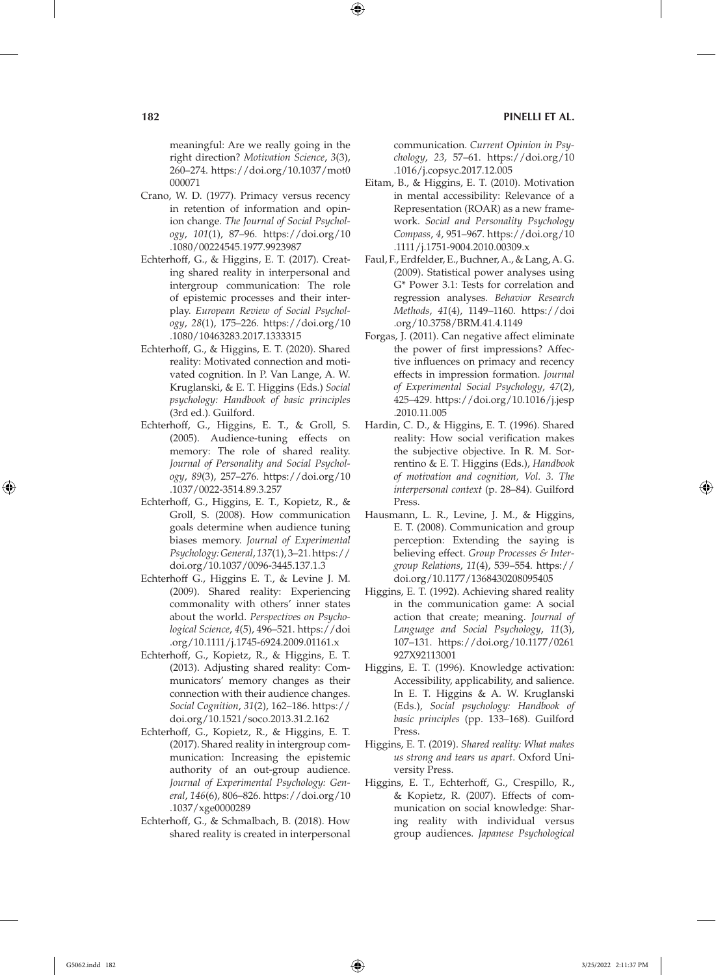meaningful: Are we really going in the right direction? *Motivation Science*, *3*(3), 260–274. https://doi.org/10.1037/mot0 000071

- Crano, W. D. (1977). Primacy versus recency in retention of information and opinion change. *The Journal of Social Psychology*, *101*(1), 87–96. https://doi.org/10 .1080/00224545.1977.9923987
- Echterhoff, G., & Higgins, E. T. (2017). Creating shared reality in interpersonal and intergroup communication: The role of epistemic processes and their interplay. *European Review of Social Psychology*, *28*(1), 175–226. https://doi.org/10 .1080/10463283.2017.1333315
- Echterhoff, G., & Higgins, E. T. (2020). Shared reality: Motivated connection and motivated cognition. In P. Van Lange, A. W. Kruglanski, & E. T. Higgins (Eds.) *Social psychology: Handbook of basic principles* (3rd ed.)*.* Guilford.
- Echterhoff, G., Higgins, E. T., & Groll, S. (2005). Audience-tuning effects on memory: The role of shared reality. *Journal of Personality and Social Psychology*, *89*(3), 257–276. https://doi.org/10 .1037/0022-3514.89.3.257
- Echterhoff, G., Higgins, E. T., Kopietz, R., & Groll, S. (2008). How communication goals determine when audience tuning biases memory. *Journal of Experimental Psychology: General*, *137*(1), 3–21. https:// doi.org/10.1037/0096-3445.137.1.3
- Echterhoff G., Higgins E. T., & Levine J. M. (2009). Shared reality: Experiencing commonality with others' inner states about the world. *Perspectives on Psychological Science*, *4*(5), 496–521. https://doi .org/10.1111/j.1745-6924.2009.01161.x
- Echterhoff, G., Kopietz, R., & Higgins, E. T. (2013). Adjusting shared reality: Communicators' memory changes as their connection with their audience changes. *Social Cognition*, *31*(2), 162–186. https:// doi.org/10.1521/soco.2013.31.2.162
- Echterhoff, G., Kopietz, R., & Higgins, E. T. (2017). Shared reality in intergroup communication: Increasing the epistemic authority of an out-group audience. *Journal of Experimental Psychology: General*, *146*(6), 806–826. https://doi.org/10 .1037/xge0000289
- Echterhoff, G., & Schmalbach, B. (2018). How shared reality is created in interpersonal

communication. *Current Opinion in Psychology*, *23*, 57–61. https://doi.org/10 .1016/j.copsyc.2017.12.005

- Eitam, B., & Higgins, E. T. (2010). Motivation in mental accessibility: Relevance of a Representation (ROAR) as a new framework. *Social and Personality Psychology Compass*, *4*, 951–967. https://doi.org/10 .1111/j.1751-9004.2010.00309.x
- Faul, F., Erdfelder, E., Buchner, A., & Lang, A. G. (2009). Statistical power analyses using G\* Power 3.1: Tests for correlation and regression analyses. *Behavior Research Methods*, *41*(4), 1149–1160. https://doi .org/10.3758/BRM.41.4.1149
- Forgas, J. (2011). Can negative affect eliminate the power of first impressions? Affective influences on primacy and recency effects in impression formation. *Journal of Experimental Social Psychology*, *47*(2), 425–429. https://doi.org/10.1016/j.jesp .2010.11.005
- Hardin, C. D., & Higgins, E. T. (1996). Shared reality: How social verification makes the subjective objective. In R. M. Sorrentino & E. T. Higgins (Eds.), *Handbook of motivation and cognition, Vol. 3. The interpersonal context* (p. 28–84). Guilford Press.
- Hausmann, L. R., Levine, J. M., & Higgins, E. T. (2008). Communication and group perception: Extending the saying is believing effect. *Group Processes & Intergroup Relations*, *11*(4), 539–554. https:// doi.org/10.1177/1368430208095405
- Higgins, E. T. (1992). Achieving shared reality in the communication game: A social action that create; meaning. *Journal of Language and Social Psychology*, *11*(3), 107–131. https://doi.org/10.1177/0261 927X92113001
- Higgins, E. T. (1996). Knowledge activation: Accessibility, applicability, and salience. In E. T. Higgins & A. W. Kruglanski (Eds.), *Social psychology: Handbook of basic principles* (pp. 133–168). Guilford Press.
- Higgins, E. T. (2019). *Shared reality: What makes us strong and tears us apart*. Oxford University Press.
- Higgins, E. T., Echterhoff, G., Crespillo, R., & Kopietz, R. (2007). Effects of communication on social knowledge: Sharing reality with individual versus group audiences. *Japanese Psychological*